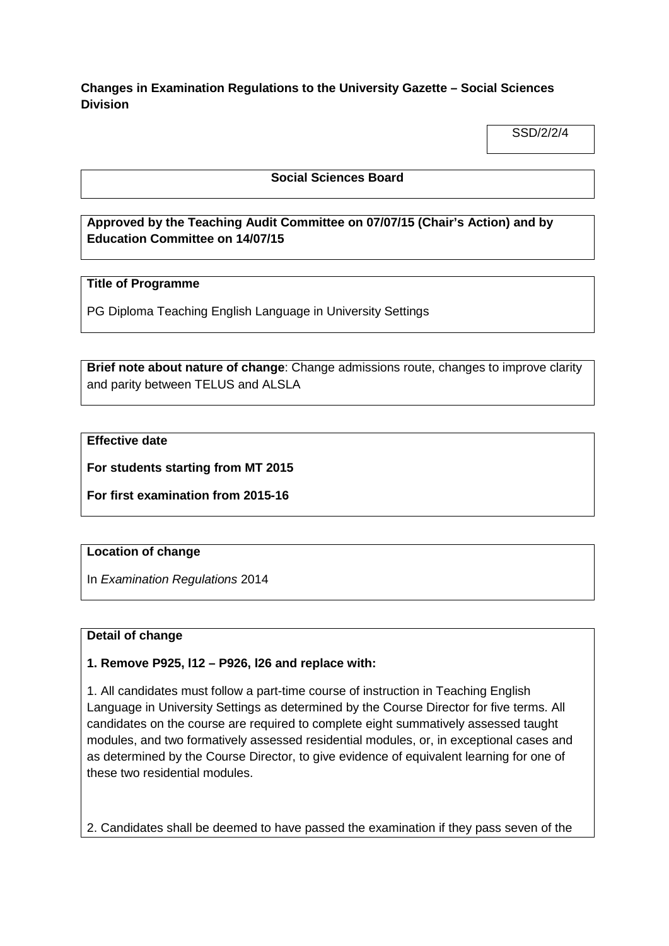**Changes in Examination Regulations to the University Gazette – Social Sciences Division**

SSD/2/2/4

### **Social Sciences Board**

# **Approved by the Teaching Audit Committee on 07/07/15 (Chair's Action) and by Education Committee on 14/07/15**

### **Title of Programme**

PG Diploma Teaching English Language in University Settings

**Brief note about nature of change**: Change admissions route, changes to improve clarity and parity between TELUS and ALSLA

## **Effective date**

**For students starting from MT 2015**

**For first examination from 2015-16**

#### **Location of change**

In *Examination Regulations* 2014

### **Detail of change**

**1. Remove P925, l12 – P926, l26 and replace with:**

1. All candidates must follow a part-time course of instruction in Teaching English Language in University Settings as determined by the Course Director for five terms. All candidates on the course are required to complete eight summatively assessed taught modules, and two formatively assessed residential modules, or, in exceptional cases and as determined by the Course Director, to give evidence of equivalent learning for one of these two residential modules.

2. Candidates shall be deemed to have passed the examination if they pass seven of the